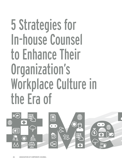# 5 Strategies for In-house Counsel to Enhance Their Organization's Workplace Culture in the Era of

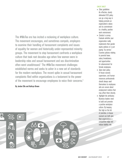The #MeToo era has incited a reckoning of workplace culture. The movement encourages, and sometimes compels, employers to examine their handling of harassment complaints and issues of equality for women and historically under-represented minority groups. The movement to stop harassment confronts a workplace culture that took root decades ago when few women were in leadership roles and sexual harassment and sex discrimination often went unaddressed.<sup>1</sup> The #MeToo movement challenges established norms and seeks to usher in a new set of standards for the modern workplace. The recent spike in sexual harassment complaints filed within organizations is a testament to the power of the movement to encourage employees to voice their concerns.<sup>2</sup>

# By Jordan Ellis and Kathryn Brown



# CHEAT SHEET

- Clear guidelines. An effective, clearly delineated EEO policy can go a long way in helping promote an organization's values and its commitment to a healthy, positive work environment.
- Conduct a survey. Evaluate whether your organization really implements their gender equity policies or is just paying "lip service." Examine policies relating to parental leave, salary breakdowns, and opportunities for advancement for female employees.
- Open-door policy. In-house counsel, supervisors, and human resources professionals should always avail themselves to employees who are unsure about employment matters that may affect them directly.
- Highlight the attributes. Business leaders need to build and promote a positive workplace culture. By keeping this high on the list of priorities, in-house counsel can both give their organizations a competitive edge and reduce liability risk.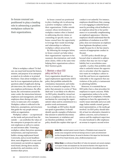In-house counsel are positioned to play a leading role in advancing a positive workplace culture for their organizations.

What is workplace culture? To find out, one must look beyond the history, mission, and purpose of an enterprise as stated on its website or in printed brochures. Clues about workplace culture lie in an organization's policies, the questions asked of applicants during job interviews, the criteria used to assess employee performance, the office layout, the conversations around the water cooler, the interactions between employees and management, and what employees share during exit interviews, to name just a few examples. Workplace culture is reflected in the behaviors, assumptions, and structures that guide the way people interact within an organization.

Workplace culture — as experienced on the inside and perceived from the outside — can symbolize the values of the enterprise to prospective and current employees as well as to customers and investors alike.<sup>3</sup> Fostering a workplace culture that prizes openness, inclusiveness, and responsiveness builds a strong employment brand. Conversely, and as recent headlines show, mere allegations of a toxic work environment can tarnish an organization's brand, driving down morale, productivity, and retention, not to mention share prices.

In-house counsel are positioned to play a leading role in advancing a positive workplace culture for their organizations. Unlike outside counsel, whose involvement in workplace matters often is limited to addressing discrete claims or counseling on specific issues, inhouse counsel have the opportunity to leverage their inside knowledge and relationships to influence workplace culture proactively.

By following the strategies below, in-house counsel can help reduce their organizations' exposure to harassment, discrimination, and retaliation claims, while at the same time helping their organizations achieve their business goals.

# 1. Maintain a robust EEO policy and live by it

Every organization should have an equal employment opportunity (EEO) policy that prohibits unlawful discrimination, harassment, and retaliation by or toward its employees. Yet a policy that amounts to a series of "thou shalt nots" is not likely to be effective. An EEO policy should be viewed not just as a compliance tool, but also as a mechanism for conveying the organization's values and its commitment to a positive work environment.

Accordingly, an EEO policy should not speak in generalities. It should identify specific examples of behaviors that amount to unlawful discrimination, harassment, or retaliation and are therefore prohibited. An EEO policy should also explain what type of conduct is *not* unlawful. For instance, employees should know that a manager is not engaging in unlawful harassment by providing critical feedback to an employee about his or her performance or occasionally complimenting an employee's appearance. Likewise, employees should understand that the prohibition of retaliation in an EEO policy does not immunize an employee from legitimate disciplinary action simply because he or she has raised a concern of inappropriate conduct in the past.

An EEO policy should also go beyond what is unlawful to address conduct that may not rise to legal liability but is nevertheless unacceptable. A policy that prohibits only what is unlawful misses the opportunity to articulate what the organization wants its workplace culture to look like and leaves an organization vulnerable to the argument that any violation of the policy is tantamount to admitting liability.

Moreover, it is essential that an EEO policy have a clear procedure for employees to report concerns. While no organization wishes to be on the receiving end of complaints, it benefits employers to have the opportunity to resolve issues internally and at an early stage, before outside counsel, government representatives, or the media get involved. An EEO policy should identify at least two alternative channels to address concerns, such as human resources and the employee's supervisor. It is also beneficial to offer employees an avenue to request a second review



**Jordan Ellis** is assistant general counsel at Spectra, a Philadelphia-based company that provides venue management and food and beverage services to sports and entertainment facilities throughout North America. He earned his Bachelor of Arts degree from Yale University and his JD from Temple University*. jordan\_ellis@comcastspectacor.com* 



**Kathryn Brown** is an attorney at Duane Morris LLP, where she represents and counsels employers in all aspects of labor and employment law. She earned her Bachelor of Arts degree from the University of Pennsylvania and her JD from Vanderbilt University. *krbrown@duanemorris.com*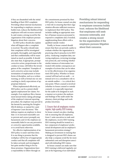if they are dissatisfied with the initial handling of their EEO complaint. Providing robust internal mechanisms for responding to employee concerns builds trust, reduces the likelihood that employees will seek recourse externally, and creates a strong record for the organization if the employee pursues litigation about their concerns.

An EEO policy should also explain what will happen after a complaint is received. The policy should state that complaints will be investigated promptly, thoroughly, and impartially and that confidentiality will be maintained as much as possible. It should also state that, if appropriate, prompt corrective action, proportionate to the conduct at issue, will follow the investigation of the complaint.4 Examples of such corrective action may include termination of employment or lesser forms of discipline, such as a written warning, as well as formal one-on-one coaching to clarify expectations of appropriate behavior.

When implemented effectively, an EEO policy can be a potent shield against employment law claims. For example, if an employee files a harassment lawsuit before taking advantage of the employer's internal reporting procedure, the employer may prevail in the lawsuit by asserting the *Faragher-Ellerth* defense, so named for a pair of Supreme Court decisions.<sup>5</sup> This defense requires an employer to show that: (1) it exercised reasonable care to prevent and correct promptly any harassment; and (2) the employee unreasonably failed to use any preventive or corrective opportunities available, or to avoid harm otherwise.

Yet, effective implementation of an EEO policy is easier said than done. It is one thing to promise that the workplace will be free of inappropriate conduct and that all complaints will be taken seriously and investigated, but quite another thing to live by those promises. Organizations have a responsibility to follow through on

the commitments promised by their EEO policy. In-house counsel can play a vital role in ensuring that their organization allocates sufficient resources to implement their EEO policy. This includes staffing an appropriate number of human resources personnel to respond to complaints and, if needed, supplementing those efforts with a qualified outside vendor.

Finally, in-house counsel should ensure that there are periodic audits to evaluate whether the organization is practicing what it preaches in its EEO policy. Analyzing complaint data, surveying employees, reviewing investigation protocols, and verifying whether similar instances of misconduct are treated with similar consequences are examples of actions that can be taken to vet the effectiveness of an organization's EEO policy. Whether in-house counsel will lead such an audit — or instead serve in a consultative role to an outside auditor — is a critical decision point. Where counsel is involved (whether in-house counsel or outside counsel), it is especially important for the audit to be designed in such a manner as to protect the analyses and findings of the audit under the attorney-client privilege and workproduct doctrines.

# 2. Ensure that all employees receive regular, high-quality EEO training

In-house counsel can play a leading role in ensuring that all employees, from C-suite executives to rank-andfile employees, receive EEO training. EEO training should be treated as a key component of employees' professional development and an employer's harassment prevention strategy.<sup>6</sup> Making an investment in training that is designed to prevent EEO claims can also help a company avoid the far more substantial costs and disruption associated with defending EEO claims.

In-house counsel can make sure that EEO training is delivered regularly, not just at the beginning of an individual's

Providing robust internal mechanisms for responding to employee concerns builds trust, reduces the likelihood that employees will seek recourse externally, and creates a strong record for the organization if the employee pursues litigation about their concerns.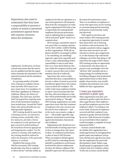Supervisors also need to understand that they have a responsibility to prevent a culture of actual or perceived punishment against those who express concerns about the workplace.

employment. Furthermore, in-house counsel must ensure that the instructors are qualified and that the organization maintains documentation of the material presented and the attendance of employees.

In a growing number of jurisdictions, training on workplace harassment and other EEO issues is not just a smart move: It is mandatory. In 2018 alone, legislatures in Delaware, California, Illinois, the District of Columbia, New York state, and New York City passed laws requiring some form of anti-harassment training in those jurisdictions. Around the United States, state and local bodies are considering similar legislation.

EEO training should be more than a listening exercise. An interactive training session, preferably with a live instructor, provides a forum for employees to ask questions and gain a practical understanding of the boundaries between appropriate and inappropriate conduct. For the content to resonate with employees, the training should be tailored to reflect the dynamics of the particular industry or worksite.

Mindful of the lessons of the #MeToo movement, EEO training should make clear that no employee is "above the law" and that neither an employee's job title nor reputation as a top revenue generator will immunize them from the consequences of violating the organization's EEO policy. Just as importantly, the training should emphasize due process protections, such as explaining that no employee will be presumed "guilty" based on accusations alone.

EEO training is essential for supervisors, given that, as company representatives, their conduct could be binding on their organizations. While all employees should be encouraged to follow a "see something, say something" approach, supervisors especially need to have a clear understanding of their responsibility to step in early when they see or learn about behavior that may violate the company's policies and to report concerns that come to their attention, directly or indirectly.

Supervisors also need to understand that they have a responsibility to prevent a culture of actual or perceived punishment against those who express concerns about the workplace. The reality is that many employees hesitate to report concerns because they fear that they will not be believed, or that they will be professionally and socially ostracized for doing so.7 Through EEO training, organizations can make supervisors aware that their treatment of employees who raise concerns sets the tone for how employees — and in the worst-case scenario, a judge or jury — will actually regard the organization's commitment to protecting against discrimination, harassment, and retaliation.

Organizations also should not overlook the benefit of training supervisors on how to manage those who report to them. An employee's performance is often at issue in EEO lawsuits. Where an employer defends against an EEO claim by contending that the plaintiff 's unsatisfactory performance motivated the adverse employment decision, the defense collapses if the plaintiff 's supervisor did not properly

document the performance issues. Thus, it is incumbent on employers to ensure that supervisors receive training in communicating and documenting performance issues honestly, timely, and effectively.

With regard to executives and senior leaders, EEO training presents an important opportunity to remind them about their role in fostering an inclusive work environment. For example, anecdotal evidence suggests that some male executives are now reluctant to mentor, give assignments to, or take business trips with female colleagues out of fear that doing so will make them the target of EEO claims.<sup>8</sup> EEO training provides an opportunity to demonstrate why these types of practices may unwittingly revive the "old boys' club" mentality and are a losing strategy for avoiding lawsuits. Excluding colleagues from professional opportunities based on their demographic characteristics may actually constitute discrimination and create liability for their organizations.

# 3. Assess your organization's commitment to gender equity

Many organizations tout their commitment to gender equity, but there is often a gap between what employers say and how employees perceive their employers' efforts.9 According to one recent study, 20 percent of employees surveyed said their employer's commitment to gender diversity feels like lip service. Only 60 percent of employees surveyed believe their employer would investigate a complaint of sexual harassment fairly.10

In-house counsel should evaluate whether their organization has a similar gap between its messaging about gender equity and employees' perceptions. Having such a gap does not mean that the organization has acted with discriminatory intent. Rather, a gap should propel an organization to take a deeper look at its workplace culture. To this end, in-house counsel should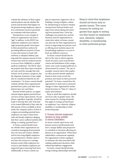evaluate the substance of their organization's policies and ask whether the actions and decisions that happen on the ground among employees, supervisors, and human resources personnel are consistent with those policies.

Parental leave is one example of where an organization may have a "gap" to address. As the EEOC has explained, employers may unknowingly perpetuate gender stereotypes in their parental leave policies by providing different amounts of leave to men and women to bond with newborn or adopted children (putting aside the separate amount of time women may need for medical reasons to recover from childbirth or related medical conditions). The EEOC takes the position that these types of policies not only send the message that only women can be primary caregivers, but the disparate treatment of men might also be considered unlawful sex discrimination.11 In-house counsel should evaluate whether their organization's parental leave policy and other leave policies have any such flaws.

Beyond written policies, an organizational stigma against parental leave can have serious repercussions. No employee, regardless of gender, should be made to feel that they will "look bad" or be treated differently if they take the full amount of leave available to them under the company's policy. If there is a stigma surrounding parental leave, employers can expect claims from male and female employees alleging that their careers suffered unfairly after taking, or seeking, parental leave.<sup>12</sup>

In-house counsel should examine whether their organizations use consistent messaging about parental leave for men and women; whether and for how long eligible employees use parental leave; whether supervisors have the resources to manage business needs while employees are on leave; and whether employees are supported upon returning from leave. Additionally, in-house counsel can

play an important, supportive role in building a strong workplace culture by championing an inclusive mindset among senior business leaders and supervisors about taking and returning from parental leave. Given the challenges new parents face and the business need for organizations to retain their talent, in-house counsel can advocate for their organizations to invest in supporting new parents, such as offering more lactation spaces for breastfeeding employees or access to back-up childcare resources.

In-house counsel should also be alert to the ways in which organizational structures, such as promotion criteria and distribution of key assignments, may create unequal pathways to advancement for women.13 By way of example, research shows that employers often promote female employees based on their track record, but promote men based on their perceived potential.<sup>14</sup> In-house counsel have the opportunity to study and recommend changes to their organization's institutional structures to "bake in" values of equity and inclusion.

Keep in mind that employers should not focus only on gender issues. The same reasons for rooting out gender bias apply to rooting out bias based on employees' race, ethnicity, religion, disability, or membership in other protected groups.

### 4. Promote informed employment decisions by being available to internal stakeholders

In-house counsel, supervisors, and human resources professionals each have a unique skillset and perspective to contribute to decisions affecting employees in an organization. When these stakeholders communicate regularly, the organization is better equipped to minimize the risks associated with making employment decisions while enhancing employee engagement.

In-house counsel should develop strong working relationships internally

Keep in mind that employers should not focus only on gender issues. The same reasons for rooting out gender bias apply to rooting out bias based on employees' race, ethnicity, religion, disability, or membership in other protected groups.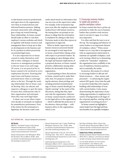so that human resources professionals and supervisors in the organization view them as trusted advisors and informed business partners. Making personal connections with colleagues goes a long way toward fostering these relationships. In-house counsel should make an effort to visit their employer's various worksites and check in regularly with human resources and management there to keep up-to-date on developments in the business and be in a position to advise proactively on potential legal issues.

It is also important for in-house counsel to make themselves available to their colleagues in human resources or management positions to discuss issues at an early stage. Of course, it is not practical for inhouse counsel to be involved in every employment decision. Ensuring that supervisors and human resources personnel know when to seek legal advice is the key. Through the working relationships that in-house counsel develop, they can educate and empower colleagues to spot the types of issues that could present risks to their organization and anticipate when they may need legal input.

A classic case occurs when a supervisor decides to terminate an employee for unsatisfactory performance. Even if the motive for the termination is legitimate, the decision could come

under attack based on information that was not even on the supervisor's radar. For example, if the termination happens soon after the employee requested medical leave with human resources, the timing alone can prompt an employee to allege that the termination is retaliation for asking to take leave. Decisions made in silos thus expose an organization to legal risk.

When in doubt, supervisors and human resources personnel should be encouraged to seek input from in-house counsel before taking action with respect to personnel matters. By encouraging an open dialogue about the legal and business implications of a proposed decision, in-house counsel promote collaboration among stakeholders for the benefit of the entire organization.

In participating in these discussions, in-house counsel need to make their roles clear. For purposes of protecting the attorney-client privilege and avoiding potential misunderstandings, in-house counsel should give an *Upjohn* warning15 at the outset of the discussion, stating that they represent only the organization. Likewise, in-house counsel must be careful not to mix legal advice to the organization — which is afforded the protection of the attorney-client privilege — with business advice to the organization, which is not.

## 5. Encourage business leaders to model and promote a positive workplace culture

In-house counsel also have a prime opportunity to make the case to business leaders that a positive work environment is not just in vogue, it is a business imperative.

It is often said that the tone is set at the top. The messaging and behavior of senior leaders is an important element of workplace culture.16 When senior leaders act in a way that is incongruent with an organization's stated intent to maintain an equitable workplace, such as by turning a blind eye to demeaning conduct by "rainmaker" employees, the organization loses credibility in the eyes of employees, business partners, and occasionally, the media.

In practice, this means it is critical to encourage leaders to allocate sufficient resources — time, money, and personnel — to advancing the organization's EEO goals. Given that the path to executive leadership roles requires building solid relationships of trust with current leaders, it also means demonstrating the importance of providing opportunities to employees of a variety of backgrounds at all stages of the corporate pipeline, starting with an organization's recruiting practices.17

In-house counsel can highlight to senior leaders how the legal and business benefits of an equitable workplace

### **ACC EXTRAS ON…** Sexual harassment prevention

### *ACC Docket*

#MeToo: The Global Impact of the Sexual Harassment Movement (April 2018). *www.acc.com/resource-library/metoo-globalimpact-sexual-harassment-movement* 

Sexual Harassment in the Workplace: What the Numbers Tell Us (March 2018). *www. accdocket.com/articles/sexual-harassment-inthe-workplace-research.cfm*

Sexual Harassment Law in India: Redefining Workplace Dynamics (Jan. 2018). *www. accdocket.com/articles/sexual-harassmentlaw-india-redefining-workplace.cfm*

Sexual Harassment in the US: Don't Be a Trending Topic (Nov. 2017). *www.accdocket. com/articles/sexual-harassment-us-don-t-be-atrending-topic.cfm* 

Examining Sexual Harassment in the Workplace (March 2017). *www.accdocket. com/articles/examining-sexual-harassment-inthe-workplace.cfm*

Ask Aliya: Building a Work Culture that Prevents Sexual Harassment (March 2017). *www.accdocket.com/articles/ask-aliya-workculture-prevents-sexual-harassment.cfm*

### **Sample Forms, Policies, and Contracts**

Sample Company Sexual Harassment Policy (APril 2017). *www.acc.com/resource-library/ sample-company-sexual-harassment-policy*

ACC HAS MORE MATERIAL ON THIS SUBJECT ON OUR WEBSITE. VISIT *WWW.ACC.COM*, WHERE YOU CAN BROWSE OUR RESOURCES BY PRACTICE AREA OR SEARCH BY KEYWORD.